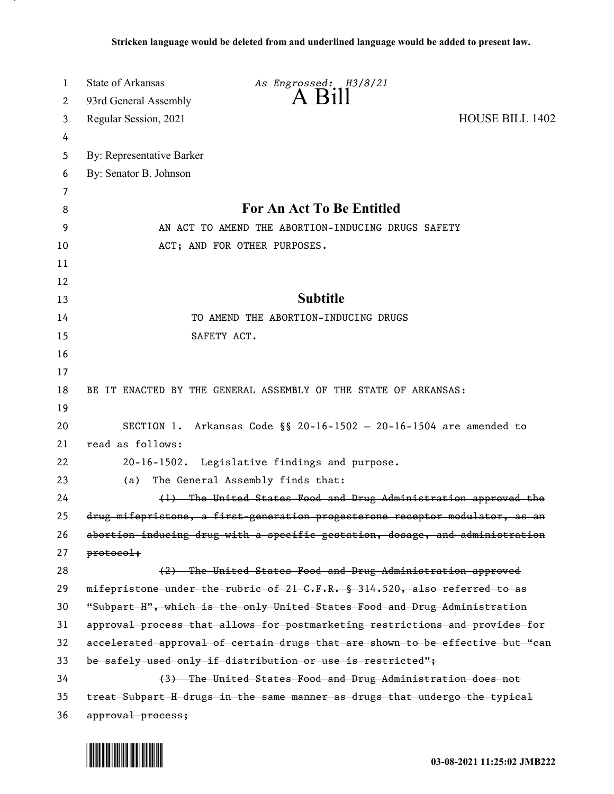| 1  | State of Arkansas         | As Engrossed: H3/8/21                                                         |                        |
|----|---------------------------|-------------------------------------------------------------------------------|------------------------|
| 2  | 93rd General Assembly     | $\overline{A}$ $\overline{B}$ 11                                              |                        |
| 3  | Regular Session, 2021     |                                                                               | <b>HOUSE BILL 1402</b> |
| 4  |                           |                                                                               |                        |
| 5  | By: Representative Barker |                                                                               |                        |
| 6  | By: Senator B. Johnson    |                                                                               |                        |
| 7  |                           |                                                                               |                        |
| 8  |                           | <b>For An Act To Be Entitled</b>                                              |                        |
| 9  |                           | AN ACT TO AMEND THE ABORTION-INDUCING DRUGS SAFETY                            |                        |
| 10 |                           | ACT; AND FOR OTHER PURPOSES.                                                  |                        |
| 11 |                           |                                                                               |                        |
| 12 |                           |                                                                               |                        |
| 13 |                           | <b>Subtitle</b>                                                               |                        |
| 14 |                           | TO AMEND THE ABORTION-INDUCING DRUGS                                          |                        |
| 15 |                           | SAFETY ACT.                                                                   |                        |
| 16 |                           |                                                                               |                        |
| 17 |                           |                                                                               |                        |
| 18 |                           | BE IT ENACTED BY THE GENERAL ASSEMBLY OF THE STATE OF ARKANSAS:               |                        |
| 19 |                           |                                                                               |                        |
| 20 |                           | SECTION 1. Arkansas Code §§ 20-16-1502 - 20-16-1504 are amended to            |                        |
| 21 | read as follows:          |                                                                               |                        |
| 22 |                           | 20-16-1502. Legislative findings and purpose.                                 |                        |
| 23 | (a)                       | The General Assembly finds that:                                              |                        |
| 24 |                           | (1) The United States Food and Drug Administration approved the               |                        |
| 25 |                           | drug mifepristone, a first-generation progesterone receptor modulator, as an  |                        |
| 26 |                           | abortion-inducing drug with a specific gestation, dosage, and administration  |                        |
| 27 | protocol;                 |                                                                               |                        |
| 28 |                           | (2) The United States Food and Drug Administration approved                   |                        |
| 29 |                           | mifepristone under the rubric of 21 G.F.R. § 314.520, also referred to as     |                        |
| 30 |                           | "Subpart H", which is the only United States Food and Drug Administration     |                        |
| 31 |                           | approval process that allows for postmarketing restrictions and provides for  |                        |
| 32 |                           | accelerated approval of certain drugs that are shown to be effective but "can |                        |
| 33 |                           | be safely used only if distribution or use is restricted";                    |                        |
| 34 |                           | (3) The United States Food and Drug Administration does not                   |                        |
| 35 |                           | treat Subpart H drugs in the same manner as drugs that undergo the typical    |                        |
| 36 | approval process;         |                                                                               |                        |

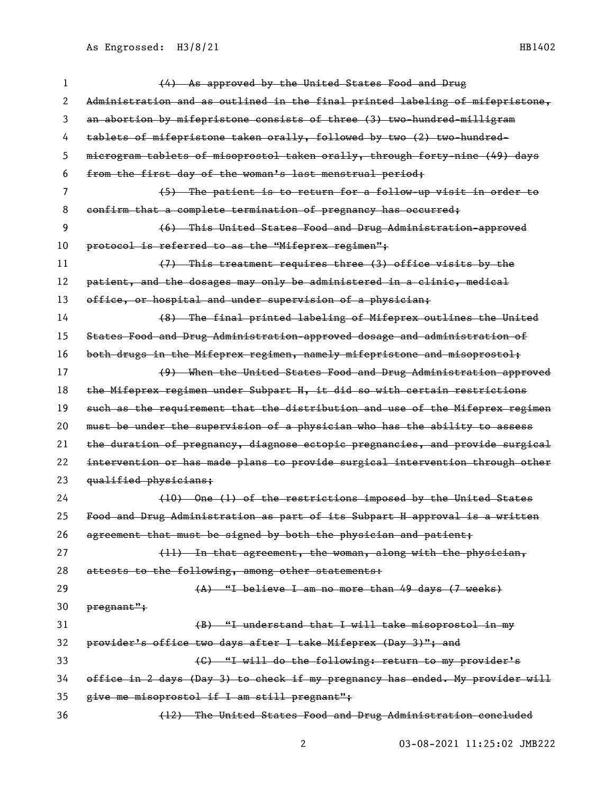| 1  | (4) As approved by the United States Food and Drug                            |
|----|-------------------------------------------------------------------------------|
| 2  | Administration and as outlined in the final printed labeling of mifepristone, |
| 3  | an abortion by mifepristone consists of three (3) two-hundred-milligram       |
| 4  | tablets of mifepristone taken orally, followed by two (2) two hundred-        |
| 5  | microgram tablets of misoprostol taken orally, through forty-nine (49) days   |
| 6  | from the first day of the woman's last menstrual period;                      |
| 7  | (5) The patient is to return for a follow-up visit in order to                |
| 8  | confirm that a complete termination of pregnancy has occurred;                |
| 9  | (6) This United States Food and Drug Administration approved                  |
| 10 | protocol is referred to as the "Mifeprex regimen";                            |
| 11 | (7) This treatment requires three (3) office visits by the                    |
| 12 | patient, and the dosages may only be administered in a clinic, medical        |
| 13 | office, or hospital and under supervision of a physician;                     |
| 14 | (8) The final printed labeling of Mifeprex outlines the United                |
| 15 | States Food and Drug Administration-approved dosage and administration of     |
| 16 | both drugs in the Mifeprex regimen, namely mifepristone and misoprostol;      |
| 17 | (9) When the United States Food and Drug Administration approved              |
| 18 | the Mifeprex regimen under Subpart H, it did so with certain restrictions     |
| 19 | such as the requirement that the distribution and use of the Mifeprex regimen |
| 20 | must be under the supervision of a physician who has the ability to assess    |
| 21 | the duration of pregnancy, diagnose ectopic pregnancies, and provide surgical |
| 22 | intervention or has made plans to provide surgical intervention through other |
| 23 | qualified physicians;                                                         |
| 24 | (10) One (1) of the restrictions imposed by the United States                 |
| 25 | Food and Drug Administration as part of its Subpart H approval is a written   |
| 26 | agreement that must be signed by both the physician and patient;              |
| 27 | (11) In that agreement, the woman, along with the physician,                  |
| 28 | attests to the following, among other statements:                             |
| 29 | (A) "I believe I am no more than 49 days (7 weeks)                            |
| 30 | pregnant";                                                                    |
| 31 | (B) "I understand that I will take misoprostol in my                          |
| 32 | provider's office two days after I take Mifeprex (Day 3)"; and                |
| 33 | (C) "I will do the following: return to my provider's                         |
| 34 | office in 2 days (Day 3) to check if my pregnancy has ended. My provider will |
| 35 | give me misoprostol if I am still pregnant";                                  |
| 36 | (12) The United States Food and Drug Administration concluded                 |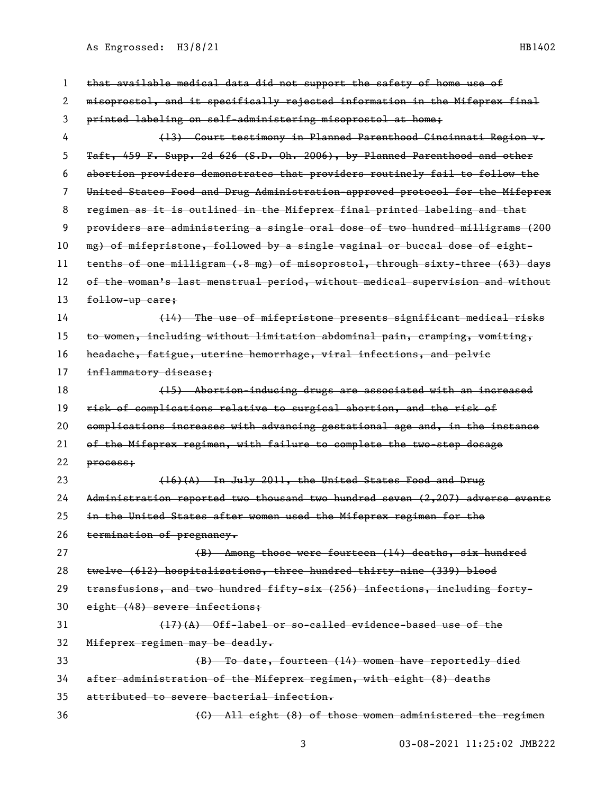| 1  | that available medical data did not support the safety of home use of         |
|----|-------------------------------------------------------------------------------|
| 2  | misoprostol, and it specifically rejected information in the Mifeprex final   |
| 3  | printed labeling on self-administering misoprostol at home;                   |
| 4  | (13) Court testimony in Planned Parenthood Cincinnati Region v.               |
| 5  | Taft, 459 F. Supp. 2d 626 (S.D. Oh. 2006), by Planned Parenthood and other    |
| 6  | abortion providers demonstrates that providers routinely fail to follow the   |
| 7  | United States Food and Drug Administration approved protocol for the Mifeprex |
| 8  | regimen as it is outlined in the Mifeprex final printed labeling and that     |
| 9  | providers are administering a single oral dose of two hundred milligrams (200 |
| 10 | mg) of mifepristone, followed by a single vaginal or buccal dose of eight-    |
| 11 | tenths of one milligram (.8 mg) of misoprostol, through sixty-three (63) days |
| 12 | of the woman's last menstrual period, without medical supervision and without |
| 13 | follow-up care;                                                               |
| 14 | (14) The use of mifepristone presents significant medical risks               |
| 15 | to women, including without limitation abdominal pain, cramping, vomiting,    |
| 16 | headache, fatigue, uterine hemorrhage, viral infections, and pelvie           |
| 17 | inflammatory disease;                                                         |
| 18 | (15) Abortion-inducing drugs are associated with an increased                 |
| 19 | risk of complications relative to surgical abortion, and the risk of          |
| 20 | complications increases with advancing gestational age and, in the instance   |
| 21 | of the Mifeprex regimen, with failure to complete the two-step dosage         |
| 22 | process;                                                                      |
| 23 | (16)(A) In July 2011, the United States Food and Drug                         |
| 24 | Administration reported two thousand two hundred seven (2,207) adverse events |
| 25 | in the United States after women used the Mifeprex regimen for the            |
| 26 | termination of pregnancy.                                                     |
| 27 | (B) Among those were fourteen (14) deaths, six hundred                        |
| 28 | twelve (612) hospitalizations, three hundred thirty-nine (339) blood          |
| 29 | transfusions, and two hundred fifty-six (256) infections, including forty-    |
| 30 | eight (48) severe infections;                                                 |
| 31 | $(17)(A)$ Off-label or so-called evidence-based use of the                    |
| 32 | Mifeprex regimen may be deadly.                                               |
| 33 | (B) To date, fourteen (14) women have reportedly died                         |
| 34 | after administration of the Mifeprex regimen, with eight (8) deaths           |
| 35 | attributed to severe bacterial infection.                                     |
| 36 | (C) All eight (8) of those women administered the regimen                     |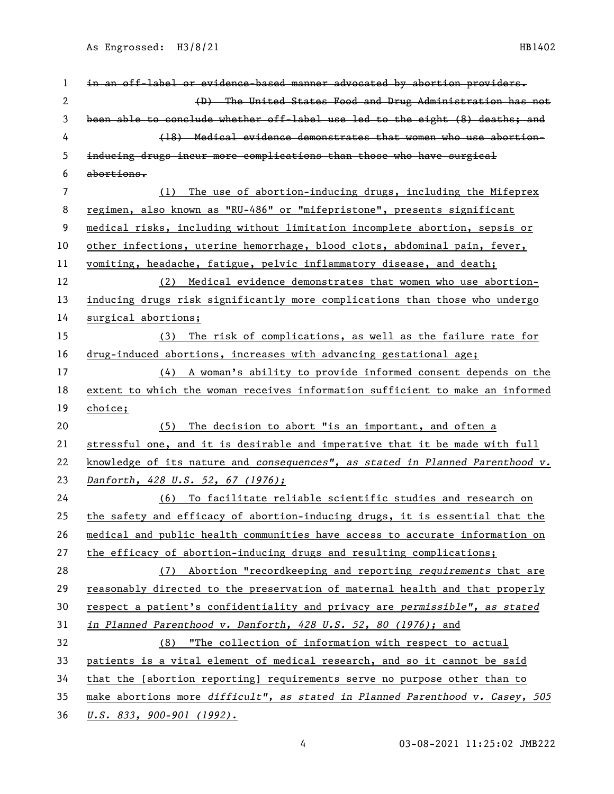| 1  | in an off-label or evidence-based manner advocated by abortion providers.     |
|----|-------------------------------------------------------------------------------|
| 2  | (D) The United States Food and Drug Administration has not                    |
| 3  | been able to conclude whether off-label use led to the eight (8) deaths; and  |
| 4  | (18) Medical evidence demonstrates that women who use abortion-               |
| 5  | inducing drugs incur more complications than those who have surgical          |
| 6  | abortions.                                                                    |
| 7  | The use of abortion-inducing drugs, including the Mifeprex<br>(1)             |
| 8  | regimen, also known as "RU-486" or "mifepristone", presents significant       |
| 9  | medical risks, including without limitation incomplete abortion, sepsis or    |
| 10 | other infections, uterine hemorrhage, blood clots, abdominal pain, fever,     |
| 11 | vomiting, headache, fatigue, pelvic inflammatory disease, and death;          |
| 12 | (2) Medical evidence demonstrates that women who use abortion-                |
| 13 | inducing drugs risk significantly more complications than those who undergo   |
| 14 | surgical abortions;                                                           |
| 15 | The risk of complications, as well as the failure rate for<br>(3)             |
| 16 | drug-induced abortions, increases with advancing gestational age;             |
| 17 | (4) A woman's ability to provide informed consent depends on the              |
| 18 | extent to which the woman receives information sufficient to make an informed |
| 19 | choice;                                                                       |
| 20 | The decision to abort "is an important, and often a<br>(5)                    |
| 21 | stressful one, and it is desirable and imperative that it be made with full   |
| 22 | knowledge of its nature and consequences", as stated in Planned Parenthood v. |
| 23 | Danforth, 428 U.S. 52, 67 (1976);                                             |
| 24 | (6) To facilitate reliable scientific studies and research on                 |
| 25 | the safety and efficacy of abortion-inducing drugs, it is essential that the  |
| 26 | medical and public health communities have access to accurate information on  |
| 27 | the efficacy of abortion-inducing drugs and resulting complications;          |
| 28 | (7) Abortion "recordkeeping and reporting requirements that are               |
| 29 | reasonably directed to the preservation of maternal health and that properly  |
| 30 | respect a patient's confidentiality and privacy are permissible", as stated   |
| 31 | in Planned Parenthood v. Danforth, 428 U.S. 52, 80 (1976); and                |
| 32 | (8) "The collection of information with respect to actual                     |
| 33 | patients is a vital element of medical research, and so it cannot be said     |
| 34 | that the [abortion reporting] requirements serve no purpose other than to     |
| 35 | make abortions more difficult", as stated in Planned Parenthood v. Casey, 505 |
|    |                                                                               |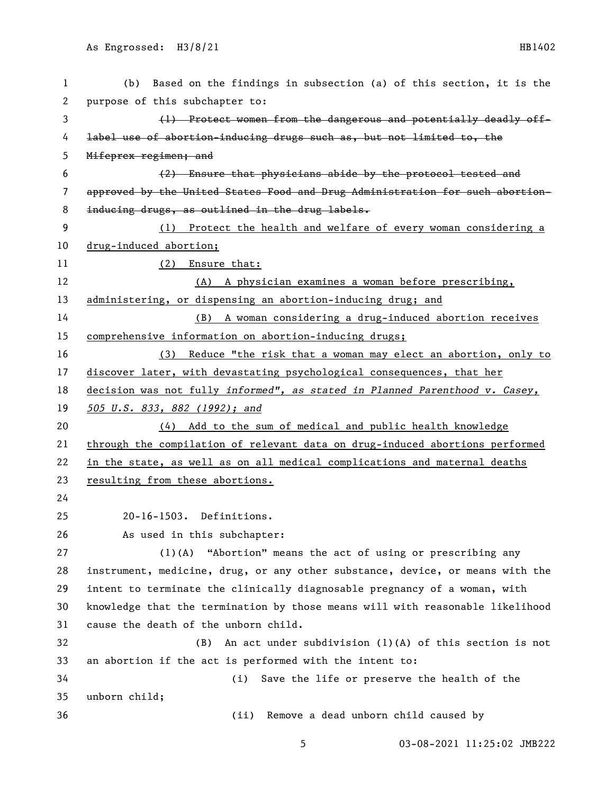| $\mathbf{1}$ | Based on the findings in subsection (a) of this section, it is the<br>(b)     |
|--------------|-------------------------------------------------------------------------------|
| 2            | purpose of this subchapter to:                                                |
| 3            | (1) Protect women from the dangerous and potentially deadly off-              |
| 4            | label use of abortion-inducing drugs such as, but not limited to, the         |
| 5            | Mifeprex regimen; and                                                         |
| 6            | (2) Ensure that physicians abide by the protocol tested and                   |
| 7            | approved by the United States Food and Drug Administration for such abortion- |
| 8            | inducing drugs, as outlined in the drug labels.                               |
| 9            | (1) Protect the health and welfare of every woman considering a               |
| 10           | drug-induced abortion;                                                        |
| 11           | (2) Ensure that:                                                              |
| 12           | (A) A physician examines a woman before prescribing,                          |
| 13           | administering, or dispensing an abortion-inducing drug; and                   |
| 14           | A woman considering a drug-induced abortion receives<br>(B)                   |
| 15           | comprehensive information on abortion-inducing drugs;                         |
| 16           | Reduce "the risk that a woman may elect an abortion, only to<br>(3)           |
| 17           | discover later, with devastating psychological consequences, that her         |
| 18           | decision was not fully informed", as stated in Planned Parenthood v. Casey,   |
| 19           | 505 U.S. 833, 882 (1992); and                                                 |
| 20           | (4) Add to the sum of medical and public health knowledge                     |
| 21           | through the compilation of relevant data on drug-induced abortions performed  |
| 22           | in the state, as well as on all medical complications and maternal deaths     |
| 23           | resulting from these abortions.                                               |
| 24           |                                                                               |
| 25           | 20-16-1503. Definitions.                                                      |
| 26           | As used in this subchapter:                                                   |
| 27           | (1)(A) "Abortion" means the act of using or prescribing any                   |
| 28           | instrument, medicine, drug, or any other substance, device, or means with the |
| 29           | intent to terminate the clinically diagnosable pregnancy of a woman, with     |
| 30           | knowledge that the termination by those means will with reasonable likelihood |
| 31           | cause the death of the unborn child.                                          |
| 32           | An act under subdivision $(1)(A)$ of this section is not<br>(B)               |
| 33           | an abortion if the act is performed with the intent to:                       |
| 34           | Save the life or preserve the health of the<br>(i)                            |
| 35           | unborn child;                                                                 |
| 36           | Remove a dead unborn child caused by<br>(ii)                                  |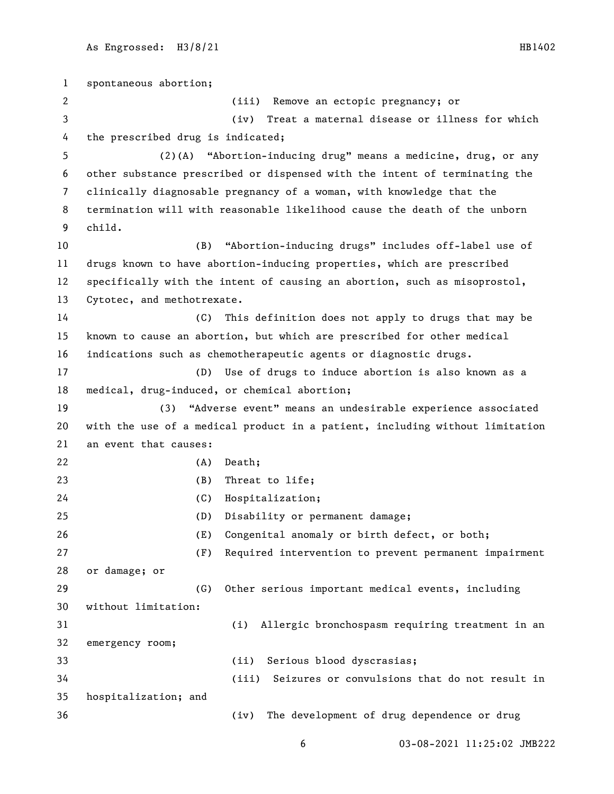spontaneous abortion; (iii) Remove an ectopic pregnancy; or (iv) Treat a maternal disease or illness for which the prescribed drug is indicated; (2)(A) "Abortion-inducing drug" means a medicine, drug, or any other substance prescribed or dispensed with the intent of terminating the clinically diagnosable pregnancy of a woman, with knowledge that the termination will with reasonable likelihood cause the death of the unborn child. (B) "Abortion-inducing drugs" includes off-label use of drugs known to have abortion-inducing properties, which are prescribed specifically with the intent of causing an abortion, such as misoprostol, Cytotec, and methotrexate. (C) This definition does not apply to drugs that may be known to cause an abortion, but which are prescribed for other medical indications such as chemotherapeutic agents or diagnostic drugs. (D) Use of drugs to induce abortion is also known as a medical, drug-induced, or chemical abortion; (3) "Adverse event" means an undesirable experience associated with the use of a medical product in a patient, including without limitation an event that causes: (A) Death; (B) Threat to life; (C) Hospitalization; (D) Disability or permanent damage; (E) Congenital anomaly or birth defect, or both; (F) Required intervention to prevent permanent impairment or damage; or (G) Other serious important medical events, including without limitation: (i) Allergic bronchospasm requiring treatment in an emergency room; (ii) Serious blood dyscrasias; (iii) Seizures or convulsions that do not result in hospitalization; and (iv) The development of drug dependence or drug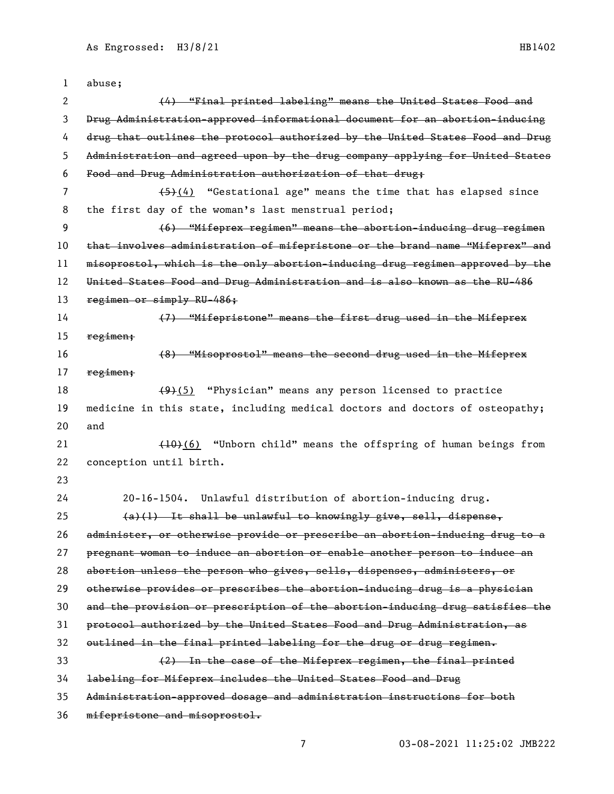| 1  | abuse;                                                                        |
|----|-------------------------------------------------------------------------------|
| 2  | (4) "Final printed labeling" means the United States Food and                 |
| 3  | Drug Administration-approved informational document for an abortion-inducing  |
| 4  | drug that outlines the protocol authorized by the United States Food and Drug |
| 5  | Administration and agreed upon by the drug company applying for United States |
| 6  | Food and Drug Administration authorization of that drug;                      |
| 7  | $(4)$ "Gestational age" means the time that has elapsed since                 |
| 8  | the first day of the woman's last menstrual period;                           |
| 9  | (6) "Mifeprex regimen" means the abortion-inducing drug regimen               |
| 10 | that involves administration of mifepristone or the brand name "Mifeprex" and |
| 11 | misoprostol, which is the only abortion-inducing drug regimen approved by the |
| 12 | United States Food and Drug Administration and is also known as the RU-486    |
| 13 | regimen or simply RU-486;                                                     |
| 14 | (7) "Mifepristone" means the first drug used in the Mifeprex                  |
| 15 | regimen;                                                                      |
| 16 | (8) "Misoprostol" means the second drug used in the Mifeprex                  |
| 17 | regimen;                                                                      |
| 18 | $(9)(5)$ "Physician" means any person licensed to practice                    |
| 19 | medicine in this state, including medical doctors and doctors of osteopathy;  |
| 20 | and                                                                           |
| 21 | (10)(6) "Unborn child" means the offspring of human beings from               |
| 22 | conception until birth.                                                       |
| 23 |                                                                               |
| 24 | $20 - 16 - 1504$ .<br>Unlawful distribution of abortion-inducing drug.        |
| 25 | $(a)(1)$ It shall be unlawful to knowingly give, sell, dispense,              |
| 26 | administer, or otherwise provide or prescribe an abortion-inducing drug to a  |
| 27 | pregnant woman to induce an abortion or enable another person to induce an    |
| 28 | abortion unless the person who gives, sells, dispenses, administers, or       |
| 29 | otherwise provides or prescribes the abortion-inducing drug is a physician    |
| 30 | and the provision or prescription of the abortion-inducing drug satisfies the |
| 31 | protocol authorized by the United States Food and Drug Administration, as     |
| 32 | outlined in the final printed labeling for the drug or drug regimen.          |
| 33 | (2) In the case of the Mifeprex regimen, the final printed                    |
| 34 | labeling for Mifeprex includes the United States Food and Drug                |
| 35 | Administration approved dosage and administration instructions for both       |
| 36 | mifepristone and misoprostol.                                                 |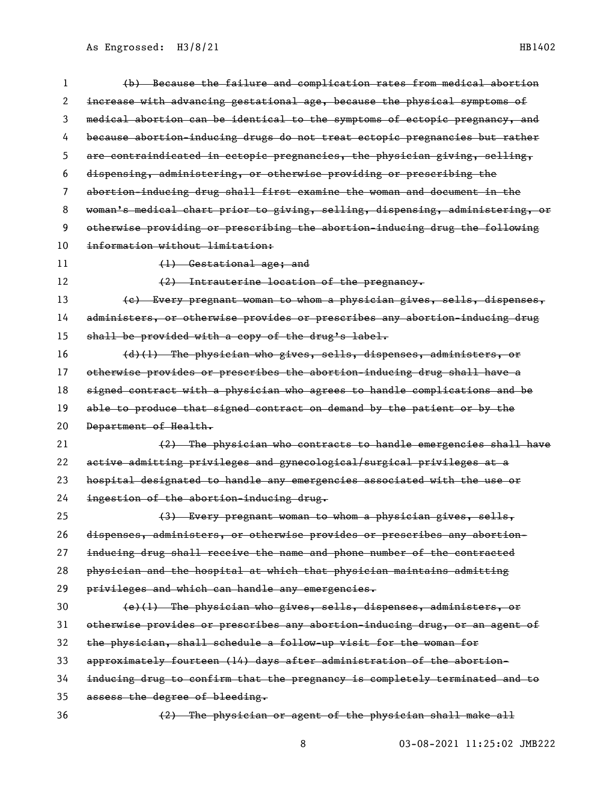| 1  | (b) Because the failure and complication rates from medical abortion          |
|----|-------------------------------------------------------------------------------|
| 2  | increase with advancing gestational age, because the physical symptoms of     |
| 3  | medical abortion can be identical to the symptoms of ectopic pregnancy, and   |
| 4  | because abortion-inducing drugs do not treat ectopic pregnancies but rather   |
| 5  | are contraindicated in ectopic pregnancies, the physician giving, selling,    |
| 6  | dispensing, administering, or otherwise providing or prescribing the          |
| 7  | abortion-inducing drug shall first examine the woman and document in the      |
| 8  | woman's medical chart prior to giving, selling, dispensing, administering, or |
| 9  | otherwise providing or prescribing the abortion-inducing drug the following   |
| 10 | information without limitation:                                               |
| 11 | (1) Gestational age; and                                                      |
| 12 | (2) Intrauterine location of the pregnancy.                                   |
| 13 | (e) Every pregnant woman to whom a physician gives, sells, dispenses,         |
| 14 | administers, or otherwise provides or prescribes any abortion-inducing drug   |
| 15 | shall be provided with a copy of the drug's label.                            |
| 16 | (d)(1) The physician who gives, sells, dispenses, administers, or             |
| 17 | otherwise provides or prescribes the abortion-inducing drug shall have a      |
| 18 | signed contract with a physician who agrees to handle complications and be    |
| 19 | able to produce that signed contract on demand by the patient or by the       |
| 20 | Department of Health.                                                         |
| 21 | (2) The physician who contracts to handle emergencies shall have              |
| 22 | active admitting privileges and gynecological/surgical privileges at a        |
| 23 | hospital designated to handle any emergencies associated with the use or      |
| 24 | ingestion of the abortion-inducing drug.                                      |
| 25 |                                                                               |
| 26 | (3) Every pregnant woman to whom a physician gives, sells,                    |
|    | dispenses, administers, or otherwise provides or prescribes any abortion-     |
| 27 | inducing drug shall receive the name and phone number of the contracted       |
| 28 | physician and the hospital at which that physician maintains admitting        |
| 29 | privileges and which can handle any emergencies.                              |
| 30 | (e)(1) The physician who gives, sells, dispenses, administers, or             |
| 31 | otherwise provides or prescribes any abortion-inducing drug, or an agent of   |
| 32 | the physician, shall schedule a follow-up visit for the woman for             |
| 33 | approximately fourteen (14) days after administration of the abortion-        |
| 34 | inducing drug to confirm that the pregnancy is completely terminated and to   |
| 35 | assess the degree of bleeding.                                                |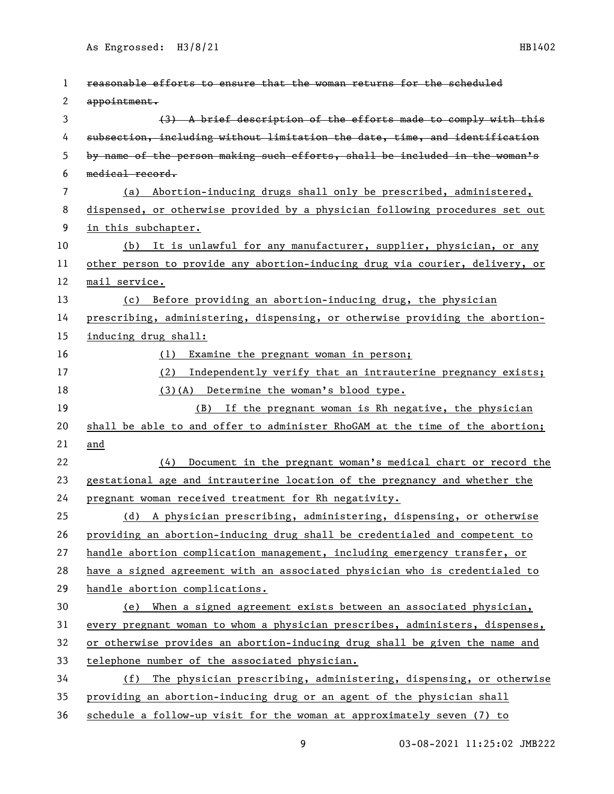| 1  | reasonable efforts to ensure that the woman returns for the scheduled        |
|----|------------------------------------------------------------------------------|
| 2  | appointment.                                                                 |
| 3  | (3) A brief description of the efforts made to comply with this              |
| 4  | subsection, including without limitation the date, time, and identification  |
| 5  | by name of the person making such efforts, shall be included in the woman's  |
| 6  | medical record.                                                              |
| 7  | (a) Abortion-inducing drugs shall only be prescribed, administered,          |
| 8  | dispensed, or otherwise provided by a physician following procedures set out |
| 9  | in this subchapter.                                                          |
| 10 | (b) It is unlawful for any manufacturer, supplier, physician, or any         |
| 11 | other person to provide any abortion-inducing drug via courier, delivery, or |
| 12 | mail service.                                                                |
| 13 | (c) Before providing an abortion-inducing drug, the physician                |
| 14 | prescribing, administering, dispensing, or otherwise providing the abortion- |
| 15 | inducing drug shall:                                                         |
| 16 | Examine the pregnant woman in person;<br>(1)                                 |
| 17 | Independently verify that an intrauterine pregnancy exists;<br>(2)           |
| 18 | (3)(A) Determine the woman's blood type.                                     |
| 19 | If the pregnant woman is Rh negative, the physician<br>(B)                   |
| 20 | shall be able to and offer to administer RhoGAM at the time of the abortion; |
| 21 | and                                                                          |
| 22 | (4) Document in the pregnant woman's medical chart or record the             |
| 23 | gestational age and intrauterine location of the pregnancy and whether the   |
| 24 | pregnant woman received treatment for Rh negativity.                         |
| 25 | (d) A physician prescribing, administering, dispensing, or otherwise         |
| 26 | providing an abortion-inducing drug shall be credentialed and competent to   |
| 27 | handle abortion complication management, including emergency transfer, or    |
| 28 | have a signed agreement with an associated physician who is credentialed to  |
| 29 | handle abortion complications.                                               |
| 30 | (e) When a signed agreement exists between an associated physician,          |
| 31 | every pregnant woman to whom a physician prescribes, administers, dispenses, |
| 32 | or otherwise provides an abortion-inducing drug shall be given the name and  |
| 33 | telephone number of the associated physician.                                |
| 34 | The physician prescribing, administering, dispensing, or otherwise<br>(f)    |
| 35 | providing an abortion-inducing drug or an agent of the physician shall       |
| 36 | schedule a follow-up visit for the woman at approximately seven (7) to       |